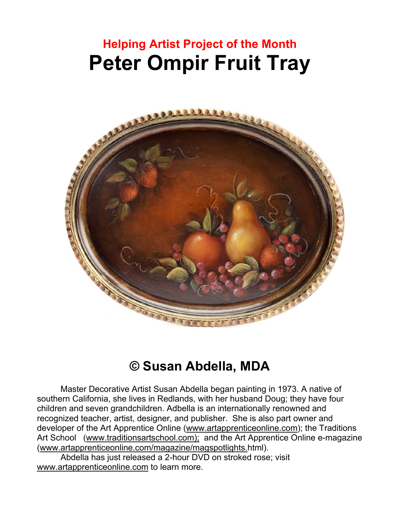# **Helping Artist Project of the Month Peter Ompir Fruit Tray**



# **© Susan Abdella, MDA**

Master Decorative Artist Susan Abdella began painting in 1973. A native of southern California, she lives in Redlands, with her husband Doug; they have four children and seven grandchildren. Adbella is an internationally renowned and recognized teacher, artist, designer, and publisher. She is also part owner and developer of the Art Apprentice Online (www.artapprenticeonline.com); the Traditions Art School (www.traditionsartschool.com); and the Art Apprentice Online e-magazine (www.artapprenticeonline.com/magazine/magspotlights.html).

Abdella has just released a 2-hour DVD on stroked rose; visit www.artapprenticeonline.com to learn more.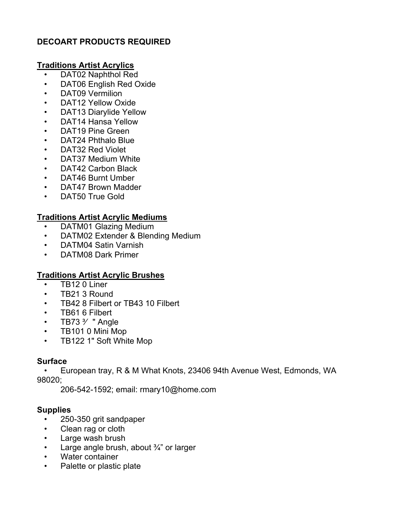# **DECOART PRODUCTS REQUIRED**

#### **Traditions Artist Acrylics**

- DAT02 Naphthol Red
- DAT06 English Red Oxide
- DAT09 Vermilion
- DAT12 Yellow Oxide
- DAT13 Diarylide Yellow
- DAT14 Hansa Yellow
- DAT19 Pine Green
- DAT24 Phthalo Blue
- DAT32 Red Violet
- DAT37 Medium White
- DAT42 Carbon Black
- DAT46 Burnt Umber
- DAT47 Brown Madder
- DAT50 True Gold

# **Traditions Artist Acrylic Mediums**

- DATM01 Glazing Medium
- DATM02 Extender & Blending Medium
- DATM04 Satin Varnish
- DATM08 Dark Primer

# **Traditions Artist Acrylic Brushes**

- TB12 0 Liner
- TB21 3 Round
- TB42 8 Filbert or TB43 10 Filbert
- TB61 6 Filbert
- TB73  $\frac{3}{7}$  " Angle
- TB101 0 Mini Mop
- TB122 1" Soft White Mop

#### **Surface**

• European tray, R & M What Knots, 23406 94th Avenue West, Edmonds, WA 98020;

206-542-1592; email: rmary10@home.com

#### **Supplies**

- 250-350 grit sandpaper
- Clean rag or cloth
- Large wash brush
- Large angle brush, about  $\frac{3}{4}$ " or larger
- Water container
- Palette or plastic plate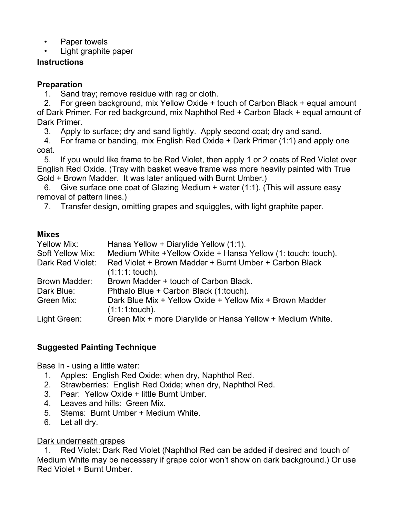Paper towels

• Light graphite paper

# **Instructions**

# **Preparation**

1. Sand tray; remove residue with rag or cloth.

2. For green background, mix Yellow Oxide + touch of Carbon Black + equal amount of Dark Primer. For red background, mix Naphthol Red + Carbon Black + equal amount of Dark Primer.

3. Apply to surface; dry and sand lightly. Apply second coat; dry and sand.

4. For frame or banding, mix English Red Oxide + Dark Primer (1:1) and apply one coat.

5. If you would like frame to be Red Violet, then apply 1 or 2 coats of Red Violet over English Red Oxide. (Tray with basket weave frame was more heavily painted with True Gold + Brown Madder. It was later antiqued with Burnt Umber.)

6. Give surface one coat of Glazing Medium + water (1:1). (This will assure easy removal of pattern lines.)

7. Transfer design, omitting grapes and squiggles, with light graphite paper.

# **Mixes**

| Yellow Mix:      | Hansa Yellow + Diarylide Yellow (1:1).                       |
|------------------|--------------------------------------------------------------|
| Soft Yellow Mix: | Medium White +Yellow Oxide + Hansa Yellow (1: touch: touch). |
| Dark Red Violet: | Red Violet + Brown Madder + Burnt Umber + Carbon Black       |
|                  | $(1:1:1:$ touch).                                            |
| Brown Madder:    | Brown Madder + touch of Carbon Black.                        |
| Dark Blue:       | Phthalo Blue + Carbon Black (1:touch).                       |
| Green Mix:       | Dark Blue Mix + Yellow Oxide + Yellow Mix + Brown Madder     |
|                  | $(1:1:1:touch)$ .                                            |
| Light Green:     | Green Mix + more Diarylide or Hansa Yellow + Medium White.   |

# **Suggested Painting Technique**

Base In - using a little water:

- 1. Apples: English Red Oxide; when dry, Naphthol Red.
- 2. Strawberries: English Red Oxide; when dry, Naphthol Red.
- 3. Pear: Yellow Oxide + little Burnt Umber.
- 4. Leaves and hills: Green Mix.
- 5. Stems: Burnt Umber + Medium White.
- 6. Let all dry.

# Dark underneath grapes

1. Red Violet: Dark Red Violet (Naphthol Red can be added if desired and touch of Medium White may be necessary if grape color won't show on dark background.) Or use Red Violet + Burnt Umber.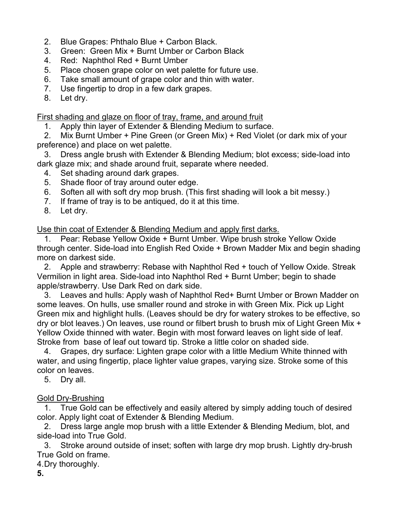- 2. Blue Grapes: Phthalo Blue + Carbon Black.
- 3. Green: Green Mix + Burnt Umber or Carbon Black
- 4. Red: Naphthol Red + Burnt Umber
- 5. Place chosen grape color on wet palette for future use.
- 6. Take small amount of grape color and thin with water.
- 7. Use fingertip to drop in a few dark grapes.
- 8. Let dry.

First shading and glaze on floor of tray, frame, and around fruit

1. Apply thin layer of Extender & Blending Medium to surface.

2. Mix Burnt Umber + Pine Green (or Green Mix) + Red Violet (or dark mix of your preference) and place on wet palette.

3. Dress angle brush with Extender & Blending Medium; blot excess; side-load into dark glaze mix; and shade around fruit, separate where needed.

- 4. Set shading around dark grapes.
- 5. Shade floor of tray around outer edge.
- 6. Soften all with soft dry mop brush. (This first shading will look a bit messy.)
- 7. If frame of tray is to be antiqued, do it at this time.
- 8. Let dry.

Use thin coat of Extender & Blending Medium and apply first darks.

1. Pear: Rebase Yellow Oxide + Burnt Umber. Wipe brush stroke Yellow Oxide through center. Side-load into English Red Oxide + Brown Madder Mix and begin shading more on darkest side.

2. Apple and strawberry: Rebase with Naphthol Red + touch of Yellow Oxide. Streak Vermilion in light area. Side-load into Naphthol Red + Burnt Umber; begin to shade apple/strawberry. Use Dark Red on dark side.

3. Leaves and hulls: Apply wash of Naphthol Red+ Burnt Umber or Brown Madder on some leaves. On hulls, use smaller round and stroke in with Green Mix. Pick up Light Green mix and highlight hulls. (Leaves should be dry for watery strokes to be effective, so dry or blot leaves.) On leaves, use round or filbert brush to brush mix of Light Green Mix + Yellow Oxide thinned with water. Begin with most forward leaves on light side of leaf. Stroke from base of leaf out toward tip. Stroke a little color on shaded side.

4. Grapes, dry surface: Lighten grape color with a little Medium White thinned with water, and using fingertip, place lighter value grapes, varying size. Stroke some of this color on leaves.

5. Dry all.

# Gold Dry-Brushing

1. True Gold can be effectively and easily altered by simply adding touch of desired color. Apply light coat of Extender & Blending Medium.

2. Dress large angle mop brush with a little Extender & Blending Medium, blot, and side-load into True Gold.

3. Stroke around outside of inset; soften with large dry mop brush. Lightly dry-brush True Gold on frame.

- 4. Dry thoroughly.
- **5.**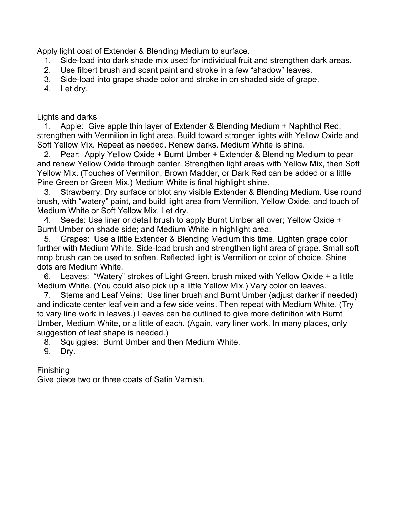Apply light coat of Extender & Blending Medium to surface.

- 1. Side-load into dark shade mix used for individual fruit and strengthen dark areas.
- 2. Use filbert brush and scant paint and stroke in a few "shadow" leaves.
- 3. Side-load into grape shade color and stroke in on shaded side of grape.
- 4. Let dry.

Lights and darks

1. Apple: Give apple thin layer of Extender & Blending Medium + Naphthol Red; strengthen with Vermilion in light area. Build toward stronger lights with Yellow Oxide and Soft Yellow Mix. Repeat as needed. Renew darks. Medium White is shine.

2. Pear: Apply Yellow Oxide + Burnt Umber + Extender & Blending Medium to pear and renew Yellow Oxide through center. Strengthen light areas with Yellow Mix, then Soft Yellow Mix. (Touches of Vermilion, Brown Madder, or Dark Red can be added or a little Pine Green or Green Mix.) Medium White is final highlight shine.

3. Strawberry: Dry surface or blot any visible Extender & Blending Medium. Use round brush, with "watery" paint, and build light area from Vermilion, Yellow Oxide, and touch of Medium White or Soft Yellow Mix. Let dry.

4. Seeds: Use liner or detail brush to apply Burnt Umber all over; Yellow Oxide + Burnt Umber on shade side; and Medium White in highlight area.

5. Grapes: Use a little Extender & Blending Medium this time. Lighten grape color further with Medium White. Side-load brush and strengthen light area of grape. Small soft mop brush can be used to soften. Reflected light is Vermilion or color of choice. Shine dots are Medium White.

6. Leaves: "Watery" strokes of Light Green, brush mixed with Yellow Oxide + a little Medium White. (You could also pick up a little Yellow Mix.) Vary color on leaves.

7. Stems and Leaf Veins: Use liner brush and Burnt Umber (adjust darker if needed) and indicate center leaf vein and a few side veins. Then repeat with Medium White. (Try to vary line work in leaves.) Leaves can be outlined to give more definition with Burnt Umber, Medium White, or a little of each. (Again, vary liner work. In many places, only suggestion of leaf shape is needed.)

8. Squiggles: Burnt Umber and then Medium White.

9. Dry.

Finishing

Give piece two or three coats of Satin Varnish.